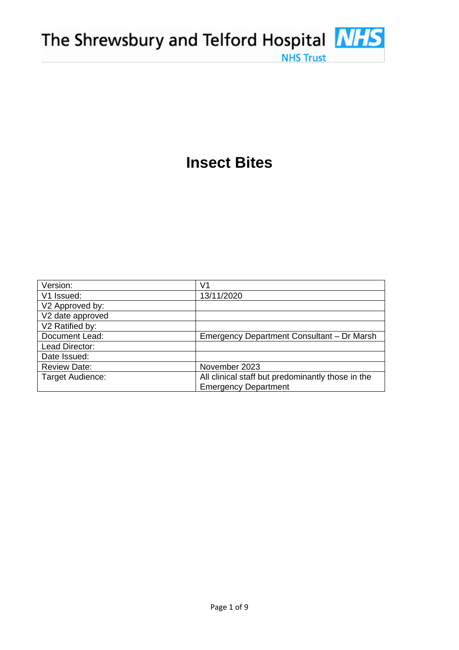# **Insect Bites**

**NHS Trust** 

| Version:            | V1                                                |
|---------------------|---------------------------------------------------|
| V1 Issued:          | 13/11/2020                                        |
| V2 Approved by:     |                                                   |
| V2 date approved    |                                                   |
| V2 Ratified by:     |                                                   |
| Document Lead:      | Emergency Department Consultant - Dr Marsh        |
| Lead Director:      |                                                   |
| Date Issued:        |                                                   |
| <b>Review Date:</b> | November 2023                                     |
| Target Audience:    | All clinical staff but predominantly those in the |
|                     | <b>Emergency Department</b>                       |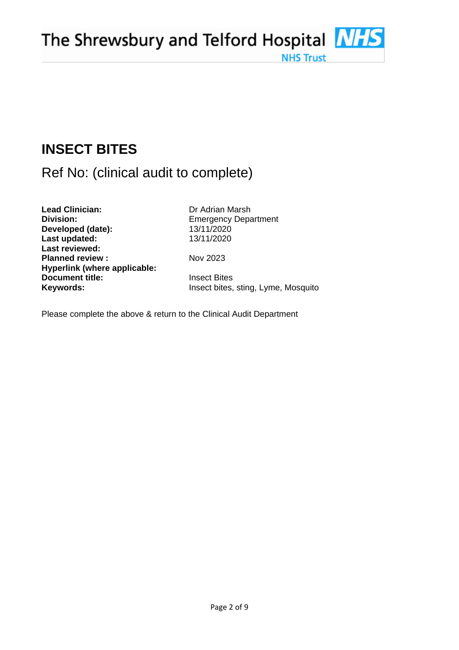# **INSECT BITES**

# Ref No: (clinical audit to complete)

**Lead Clinician:** Dr Adrian Marsh **Division:** Emergency Department **Developed (date):** 13/11/2020 **Last updated:** 13/11/2020 **Last reviewed: Planned review :** Nov 2023 **Hyperlink (where applicable: Document title: Insect Bites** 

**Keywords: Insect bites, sting, Lyme, Mosquito** 

**NHS Trust** 

Please complete the above & return to the Clinical Audit Department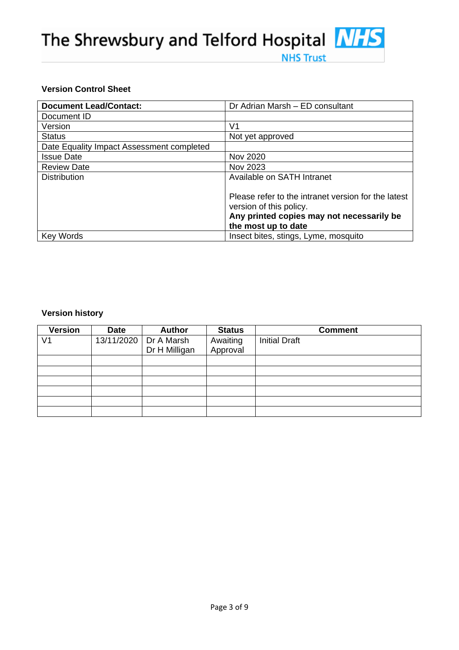# **NHS Trust**

# **Version Control Sheet**

| <b>Document Lead/Contact:</b>             | Dr Adrian Marsh - ED consultant                                                                                                                    |
|-------------------------------------------|----------------------------------------------------------------------------------------------------------------------------------------------------|
| Document ID                               |                                                                                                                                                    |
| Version                                   | V1                                                                                                                                                 |
| <b>Status</b>                             | Not yet approved                                                                                                                                   |
| Date Equality Impact Assessment completed |                                                                                                                                                    |
| <b>Issue Date</b>                         | Nov 2020                                                                                                                                           |
| <b>Review Date</b>                        | Nov 2023                                                                                                                                           |
| <b>Distribution</b>                       | Available on SATH Intranet                                                                                                                         |
|                                           | Please refer to the intranet version for the latest<br>version of this policy.<br>Any printed copies may not necessarily be<br>the most up to date |
| <b>Key Words</b>                          | Insect bites, stings, Lyme, mosquito                                                                                                               |

# **Version history**

| <b>Version</b> | <b>Date</b> | <b>Author</b>                          | <b>Status</b>        | <b>Comment</b>       |
|----------------|-------------|----------------------------------------|----------------------|----------------------|
| V <sub>1</sub> |             | 13/11/2020 Dr A Marsh<br>Dr H Milligan | Awaiting<br>Approval | <b>Initial Draft</b> |
|                |             |                                        |                      |                      |
|                |             |                                        |                      |                      |
|                |             |                                        |                      |                      |
|                |             |                                        |                      |                      |
|                |             |                                        |                      |                      |
|                |             |                                        |                      |                      |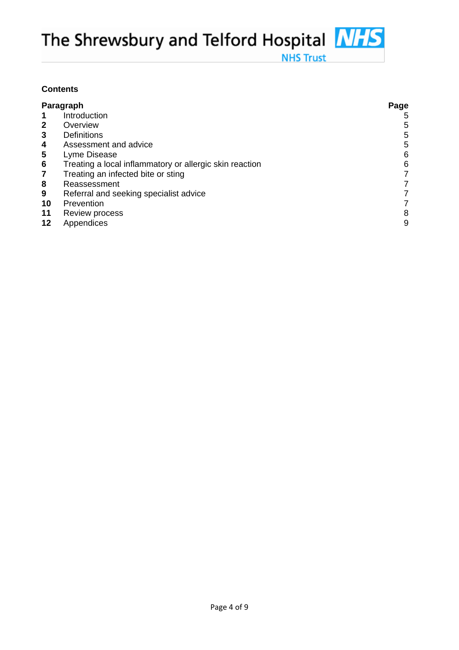# **Contents**

| Paragraph               |                                                         | Page |
|-------------------------|---------------------------------------------------------|------|
|                         | Introduction                                            | 5    |
| $\mathbf{2}$            | Overview                                                | 5    |
| 3                       | <b>Definitions</b>                                      | 5    |
| 4                       | Assessment and advice                                   | 5    |
| 5                       | Lyme Disease                                            | 6    |
| 6                       | Treating a local inflammatory or allergic skin reaction | 6    |
| $\overline{\mathbf{r}}$ | Treating an infected bite or sting                      |      |
| 8                       | Reassessment                                            | 7    |
| 9                       | Referral and seeking specialist advice                  |      |
| 10                      | Prevention                                              |      |
| 11                      | Review process                                          | 8    |
| 12                      | Appendices                                              | 9    |

**NHS Trust**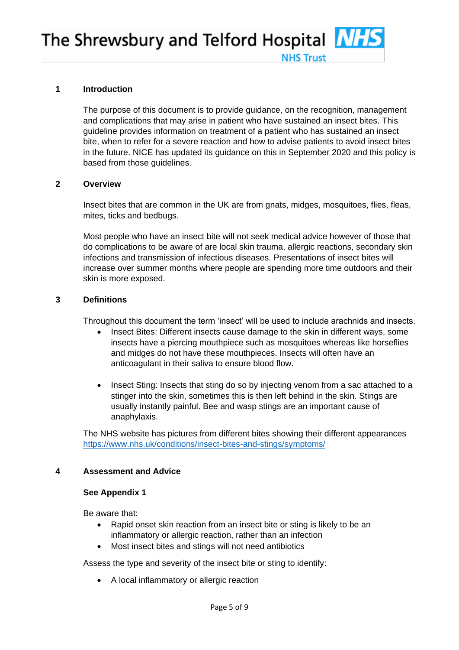#### **1 Introduction**

The purpose of this document is to provide guidance, on the recognition, management and complications that may arise in patient who have sustained an insect bites. This guideline provides information on treatment of a patient who has sustained an insect bite, when to refer for a severe reaction and how to advise patients to avoid insect bites in the future. NICE has updated its guidance on this in September 2020 and this policy is based from those guidelines.

**NHS Truct** 

#### **2 Overview**

Insect bites that are common in the UK are from gnats, midges, mosquitoes, flies, fleas, mites, ticks and bedbugs.

Most people who have an insect bite will not seek medical advice however of those that do complications to be aware of are local skin trauma, allergic reactions, secondary skin infections and transmission of infectious diseases. Presentations of insect bites will increase over summer months where people are spending more time outdoors and their skin is more exposed.

#### **3 Definitions**

Throughout this document the term 'insect' will be used to include arachnids and insects.

- Insect Bites: Different insects cause damage to the skin in different ways, some insects have a piercing mouthpiece such as mosquitoes whereas like horseflies and midges do not have these mouthpieces. Insects will often have an anticoagulant in their saliva to ensure blood flow.
- Insect Sting: Insects that sting do so by injecting venom from a sac attached to a stinger into the skin, sometimes this is then left behind in the skin. Stings are usually instantly painful. Bee and wasp stings are an important cause of anaphylaxis.

The NHS website has pictures from different bites showing their different appearances <https://www.nhs.uk/conditions/insect-bites-and-stings/symptoms/>

#### **4 Assessment and Advice**

#### **See Appendix 1**

Be aware that:

- Rapid onset skin reaction from an insect bite or sting is likely to be an inflammatory or allergic reaction, rather than an infection
- Most insect bites and stings will not need antibiotics

Assess the type and severity of the insect bite or sting to identify:

• A local inflammatory or allergic reaction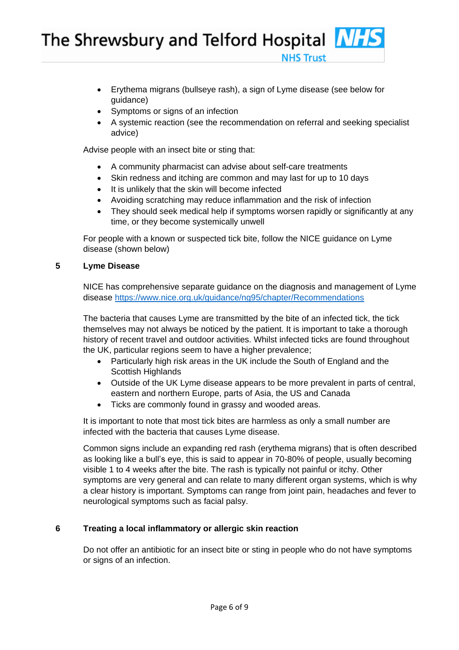- Erythema migrans (bullseye rash), a sign of Lyme disease (see below for guidance)
- Symptoms or signs of an infection
- A systemic reaction (see the recommendation on referral and seeking specialist advice)

**NHS Truct** 

Advise people with an insect bite or sting that:

- A community pharmacist can advise about self-care treatments
- Skin redness and itching are common and may last for up to 10 days
- It is unlikely that the skin will become infected
- Avoiding scratching may reduce inflammation and the risk of infection
- They should seek medical help if symptoms worsen rapidly or significantly at any time, or they become systemically unwell

For people with a known or suspected tick bite, follow the NICE guidance on Lyme disease (shown below)

## **5 Lyme Disease**

NICE has comprehensive separate guidance on the diagnosis and management of Lyme disease<https://www.nice.org.uk/guidance/ng95/chapter/Recommendations>

The bacteria that causes Lyme are transmitted by the bite of an infected tick, the tick themselves may not always be noticed by the patient. It is important to take a thorough history of recent travel and outdoor activities. Whilst infected ticks are found throughout the UK, particular regions seem to have a higher prevalence;

- Particularly high risk areas in the UK include the South of England and the Scottish Highlands
- Outside of the UK Lyme disease appears to be more prevalent in parts of central, eastern and northern Europe, parts of Asia, the US and Canada
- Ticks are commonly found in grassy and wooded areas.

It is important to note that most tick bites are harmless as only a small number are infected with the bacteria that causes Lyme disease.

Common signs include an expanding red rash (erythema migrans) that is often described as looking like a bull's eye, this is said to appear in 70-80% of people, usually becoming visible 1 to 4 weeks after the bite. The rash is typically not painful or itchy. Other symptoms are very general and can relate to many different organ systems, which is why a clear history is important. Symptoms can range from joint pain, headaches and fever to neurological symptoms such as facial palsy.

# **6 Treating a local inflammatory or allergic skin reaction**

Do not offer an antibiotic for an insect bite or sting in people who do not have symptoms or signs of an infection.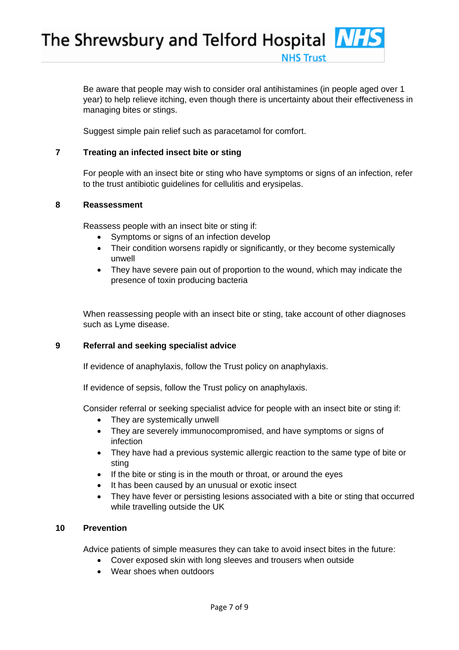Be aware that people may wish to consider oral antihistamines (in people aged over 1 year) to help relieve itching, even though there is uncertainty about their effectiveness in managing bites or stings.

**NHS Truct** 

Suggest simple pain relief such as paracetamol for comfort.

# **7 Treating an infected insect bite or sting**

For people with an insect bite or sting who have symptoms or signs of an infection, refer to the trust antibiotic guidelines for cellulitis and erysipelas.

## **8 Reassessment**

Reassess people with an insect bite or sting if:

- Symptoms or signs of an infection develop
- Their condition worsens rapidly or significantly, or they become systemically unwell
- They have severe pain out of proportion to the wound, which may indicate the presence of toxin producing bacteria

When reassessing people with an insect bite or sting, take account of other diagnoses such as Lyme disease.

## **9 Referral and seeking specialist advice**

If evidence of anaphylaxis, follow the Trust policy on anaphylaxis.

If evidence of sepsis, follow the Trust policy on anaphylaxis.

Consider referral or seeking specialist advice for people with an insect bite or sting if:

- They are systemically unwell
- They are severely immunocompromised, and have symptoms or signs of infection
- They have had a previous systemic allergic reaction to the same type of bite or sting
- If the bite or sting is in the mouth or throat, or around the eyes
- It has been caused by an unusual or exotic insect
- They have fever or persisting lesions associated with a bite or sting that occurred while travelling outside the UK

# **10 Prevention**

Advice patients of simple measures they can take to avoid insect bites in the future:

- Cover exposed skin with long sleeves and trousers when outside
- Wear shoes when outdoors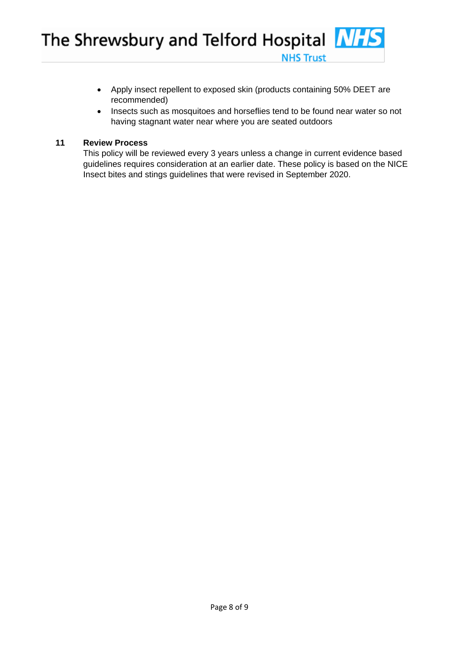- Apply insect repellent to exposed skin (products containing 50% DEET are recommended)
- Insects such as mosquitoes and horseflies tend to be found near water so not having stagnant water near where you are seated outdoors

**NHS Trust** 

# **11 Review Process**

This policy will be reviewed every 3 years unless a change in current evidence based guidelines requires consideration at an earlier date. These policy is based on the NICE Insect bites and stings guidelines that were revised in September 2020.